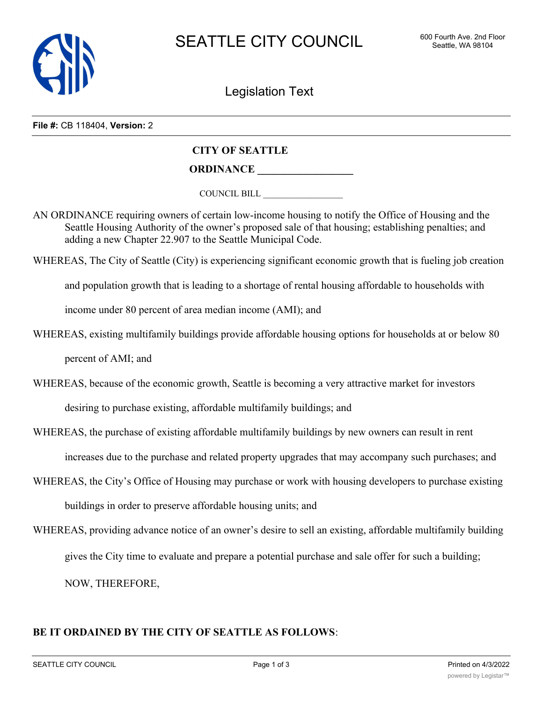

Legislation Text

#### **File #:** CB 118404, **Version:** 2

# **CITY OF SEATTLE**

**ORDINANCE \_\_\_\_\_\_\_\_\_\_\_\_\_\_\_\_\_\_**

COUNCIL BILL \_\_\_\_\_\_\_\_\_\_\_\_\_\_\_\_\_\_

AN ORDINANCE requiring owners of certain low-income housing to notify the Office of Housing and the Seattle Housing Authority of the owner's proposed sale of that housing; establishing penalties; and adding a new Chapter 22.907 to the Seattle Municipal Code.

WHEREAS, The City of Seattle (City) is experiencing significant economic growth that is fueling job creation

and population growth that is leading to a shortage of rental housing affordable to households with

income under 80 percent of area median income (AMI); and

WHEREAS, existing multifamily buildings provide affordable housing options for households at or below 80

percent of AMI; and

WHEREAS, because of the economic growth, Seattle is becoming a very attractive market for investors desiring to purchase existing, affordable multifamily buildings; and

WHEREAS, the purchase of existing affordable multifamily buildings by new owners can result in rent increases due to the purchase and related property upgrades that may accompany such purchases; and

- WHEREAS, the City's Office of Housing may purchase or work with housing developers to purchase existing buildings in order to preserve affordable housing units; and
- WHEREAS, providing advance notice of an owner's desire to sell an existing, affordable multifamily building gives the City time to evaluate and prepare a potential purchase and sale offer for such a building; NOW, THEREFORE,

# **BE IT ORDAINED BY THE CITY OF SEATTLE AS FOLLOWS**: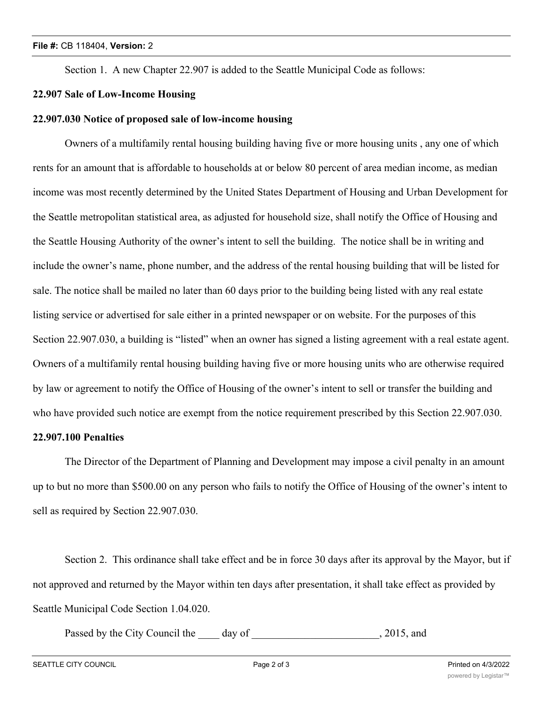Section 1. A new Chapter 22.907 is added to the Seattle Municipal Code as follows:

## **22.907 Sale of Low-Income Housing**

### **22.907.030 Notice of proposed sale of low-income housing**

Owners of a multifamily rental housing building having five or more housing units , any one of which rents for an amount that is affordable to households at or below 80 percent of area median income, as median income was most recently determined by the United States Department of Housing and Urban Development for the Seattle metropolitan statistical area, as adjusted for household size, shall notify the Office of Housing and the Seattle Housing Authority of the owner's intent to sell the building. The notice shall be in writing and include the owner's name, phone number, and the address of the rental housing building that will be listed for sale. The notice shall be mailed no later than 60 days prior to the building being listed with any real estate listing service or advertised for sale either in a printed newspaper or on website. For the purposes of this Section 22.907.030, a building is "listed" when an owner has signed a listing agreement with a real estate agent. Owners of a multifamily rental housing building having five or more housing units who are otherwise required by law or agreement to notify the Office of Housing of the owner's intent to sell or transfer the building and who have provided such notice are exempt from the notice requirement prescribed by this Section 22.907.030.

## **22.907.100 Penalties**

The Director of the Department of Planning and Development may impose a civil penalty in an amount up to but no more than \$500.00 on any person who fails to notify the Office of Housing of the owner's intent to sell as required by Section 22.907.030.

Section 2. This ordinance shall take effect and be in force 30 days after its approval by the Mayor, but if not approved and returned by the Mayor within ten days after presentation, it shall take effect as provided by Seattle Municipal Code Section 1.04.020.

Passed by the City Council the 100 day of 100 day of 2015, and